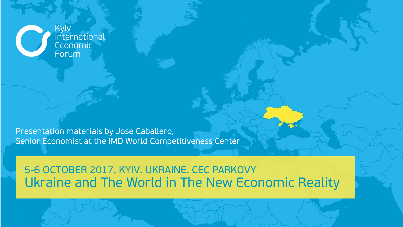Kyiv<br>International Economic Forum

Presentation materials by Jose Caballero, Senior Economist at the IMD World Competitiveness Center

#### Ukraine and The World in The New Economic Reality 5-6 OCTOBER 2017. KYIV. UKRAINE. CEC PARKOVY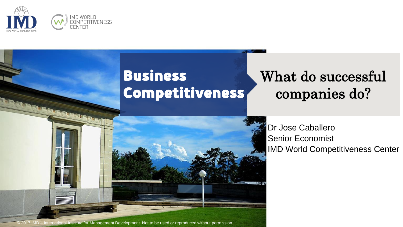

### Business Competitiveness

## What do successful companies do?



© 2017 IMD – International Institute for Management Development. Not to be used or reproduced without permission.

Dr Jose Caballero Senior Economist IMD World Competitiveness Center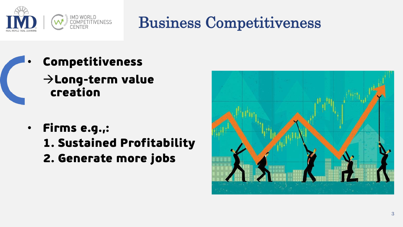

## Business Competitiveness

- **Competitiveness**  $\rightarrow$  Long-term value creation
	- Firms e.g.,:
		- 1. Sustained Profitability
		- 2. Generate more jobs

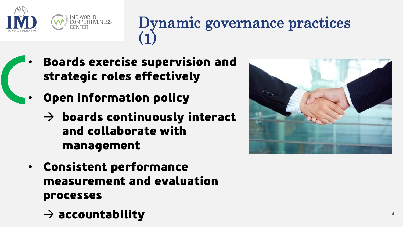

## Dynamic governance practices (1)

- Boards exercise supervision and strategic roles effectively
- Open information policy
	- $\rightarrow$  boards continuously interact and collaborate with management
	- Consistent performance measurement and evaluation processes
		- $\rightarrow$  accountability

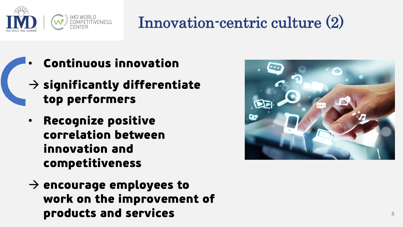

# Innovation-centric culture (2)

- Continuous innovation
	- $\rightarrow$  significantly differentiate top performers
	- Recognize positive correlation between innovation and competitiveness
	- $\rightarrow$  encourage employees to work on the improvement of products and services

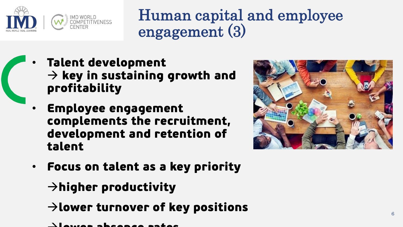

Human capital and employee engagement (3)

- Talent development  $\rightarrow$  key in sustaining growth and profitability
	- Employee engagement complements the recruitment, development and retention of talent



• Focus on talent as a key priority

 $\rightarrow$ higher productivity

- $\rightarrow$  lower turnover of key positions
- lower absence rates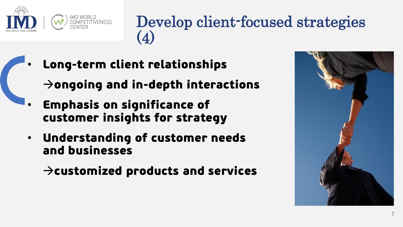

## Develop client-focused strategies (4)

• Long-term client relationships

 $\rightarrow$  ongoing and in-depth interactions

- Emphasis on significance of customer insights for strategy
- Understanding of customer needs and businesses

 $\rightarrow$ customized products and services

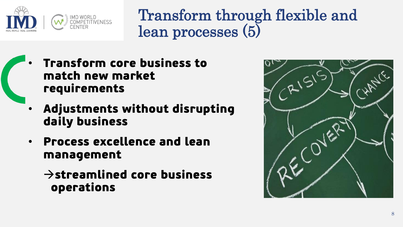

Transform through flexible and lean processes (5)

- Transform core business to match new market requirements
	- Adjustments without disrupting daily business
- Process excellence and lean management
	- $\rightarrow$ streamlined core business operations